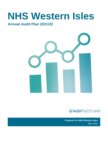# **NHS Western Isles**

### **Annual Audit Plan 2021/22**





**Prepared for NHS Western Isles**  May 2022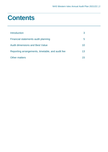## **Contents**

| Introduction                                     |    |
|--------------------------------------------------|----|
| Financial statements audit planning              | b  |
| <b>Audit dimensions and Best Value</b>           | 10 |
| Reporting arrangements, timetable, and audit fee | 13 |
| <b>Other matters</b>                             |    |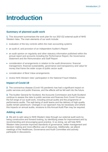### <span id="page-2-0"></span>**Introduction**

#### **Summary of planned audit work**

**1.** This document summarises the work plan for our 2021/22 external audit of NHS Western Isles. The main elements of our work include:

- evaluation of the key controls within the main accounting systems
- an audit of, and provision of an Independent Auditor's Report
- an audit opinion on regularity and other statutory information published within the annual report and accounts including the Performance Report, the Governance Statement and the Remuneration and Staff Report
- consideration of arrangements in relation to the audit dimensions: financial management, financial sustainability, governance and transparency and value for money that frame the wider scope of public sector audit
- consideration of Best Value arrangements
- review NHS Western Isles' participation in the National Fraud Initiative.

#### **Impact of Covid-19**

**2.** The coronavirus disease (Covid-19) pandemic has had a significant impact on public services and public finances, and the effects will be felt well into the future.

**3.** The Auditor General for Scotland, the Accounts Commission and Audit Scotland continue to assess the risks to public services and finances from Covid-19 across the full range of our audit work, including annual audits and the programme of performance audits. The well-being of audit teams and the delivery of high-quality audits remain paramount. Changes in our approach may be necessary and where this impacts on annual audits, revisions to this Annual Audit Plan may be required.

#### **Adding value**

**4.** We aim to add value to NHS Western Isles through our external audit work by being constructive and forward looking, by identifying areas for improvement and by recommending and encouraging good practice. In so doing, we will help NHS Western Isles promote improved standards of governance, better management and decision making and more effective use of resources. Additionally, we attend meetings of the Healthcare, Governance and Audit Committee and actively participate in discussions.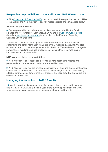#### **Respective responsibilities of the auditor and NHS Western Isles**

**5.** The [Code of Audit Practice \(2016\)](https://www.audit-scotland.gov.uk/uploads/docs/report/2016/code_audit_practice_16_0.pdf) sets out in detail the respective responsibilities of the auditor and NHS Western Isles. Key responsibilities are summarised below.

#### **Auditor responsibilities**

**6.** Our responsibilities as independent auditors are established by the Public Finance and Accountability (Scotland) Act 2000 and the [Code of Audit Practice](https://www.audit-scotland.gov.uk/uploads/docs/report/2016/code_audit_practice_16_0.pdf) (including [supplementary guidance\)](https://www.audit-scotland.gov.uk/uploads/docs/um/code_audit_guidance_16_supp.pdf) and guided by the Financial Reporting Council's Ethical Standard.

**7.** Auditors in the public sector give an independent opinion on the financial statements and other information within the annual report and accounts. We also review and report on the arrangements within the NHS Western Isles to manage its performance, regularity and use of resources. In doing this, we aim to support improvement and accountability.

#### **NHS Western Isles responsibilities**

**8.** NHS Western Isles is responsible for maintaining accounting records and preparing financial statements that give a true and fair view.

**9.** NHS Western Isles has the primary responsibility for ensuring the proper financial stewardship of public funds, compliance with relevant legislation and establishing effective arrangements for governance, propriety and regularity that enable them to deliver their objectives.

#### **Managing the transition to 2022/23 audits**

**10.** Audit appointments are usually for five years but were extended to six years due to Covid-19. 2021/22 is the final year of the current appointment and we will work closely with our successors to ensure a well-managed transition.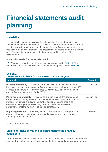# <span id="page-4-0"></span>**Financial statements audit planning**

#### **Materiality**

**11.** Materiality is an expression of the relative significance of a matter in the context of the financial statements as a whole. We are required to plan our audit to determine with reasonable confidence whether the financial statements are free from material misstatement. The assessment of what is material is a matter of professional judgement over both the amount and the nature of the misstatement.

#### **Materiality levels for the 2021/22 audit**

**12.** We assess materiality at different levels as described in [Exhibit 1.](#page-4-1) The materiality values for NHS Western Isles and its group are set out in [Exhibit 1.](#page-4-1)

<span id="page-4-1"></span>

| <b>Exhibit 1</b><br>2021/22 Materiality levels for NHS Western Isles and its group                                                                                                                                                                                                                                                                                         |               |  |  |
|----------------------------------------------------------------------------------------------------------------------------------------------------------------------------------------------------------------------------------------------------------------------------------------------------------------------------------------------------------------------------|---------------|--|--|
| <b>Materiality</b>                                                                                                                                                                                                                                                                                                                                                         | <b>Amount</b> |  |  |
| <b>Planning materiality</b> – This is the figure we calculate to assess the overall<br>impact of audit adjustments on the financial statements. It has been set at 1%<br>of gross expenditure for the year ended 31 March 2022 based on the latest<br>audited financial statements for 2020/21.                                                                            | £1.6 million  |  |  |
| <b>Performance materiality</b> – This acts as a trigger point. If the aggregate of<br>errors identified during the financial statements audit exceeds performance<br>materiality, this would indicate that further audit procedures should be<br>considered. Using our professional judgement, we have assessed<br>performance materiality at 70% of planning materiality. | £1.1 million  |  |  |
| <b>Reporting threshold (i.e. clearly trivial)</b> – We are required to report to those<br>charged with governance on all unadjusted misstatements more than the<br>'reporting threshold' amount.                                                                                                                                                                           | £80,000       |  |  |

Source: Audit Scotland

#### **Significant risks of material misstatement to the financial statements**

**13.** Our risk assessment draws on our cumulative knowledge of NHS Western Isles, its major transaction streams, key systems of internal control and risk management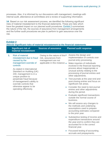processes. Also, it is informed by our discussions with management, meetings with internal audit, attendance at committees and a review of supporting information.

**14.** Based on our risk assessment process, we identified the following significant risks of material misstatement to the financial statements. These are risks which have the greatest impact on our planned audit procedures. [Exhibit 2](#page-5-0) summarises the nature of the risk, the sources of assurance from management arrangements and the further audit procedures we plan to perform to gain assurance over the risk.

<span id="page-5-0"></span>**Exhibit 2**

| 2021/22 Significant risks of material misstatement to the financial statements |                                                                                                                                                                                                                                                                                                                                                                 |                                                                                                                                                      |                                                                                                                                                                                                                                                                                                                                                                                                                                                                                                                                                                                                                                                                                                                                                                                                                                                                                                                                                                      |
|--------------------------------------------------------------------------------|-----------------------------------------------------------------------------------------------------------------------------------------------------------------------------------------------------------------------------------------------------------------------------------------------------------------------------------------------------------------|------------------------------------------------------------------------------------------------------------------------------------------------------|----------------------------------------------------------------------------------------------------------------------------------------------------------------------------------------------------------------------------------------------------------------------------------------------------------------------------------------------------------------------------------------------------------------------------------------------------------------------------------------------------------------------------------------------------------------------------------------------------------------------------------------------------------------------------------------------------------------------------------------------------------------------------------------------------------------------------------------------------------------------------------------------------------------------------------------------------------------------|
|                                                                                | <b>Significant risk of</b><br>material misstatement                                                                                                                                                                                                                                                                                                             | <b>Sources of assurance</b>                                                                                                                          | <b>Planned audit response</b>                                                                                                                                                                                                                                                                                                                                                                                                                                                                                                                                                                                                                                                                                                                                                                                                                                                                                                                                        |
| 1.                                                                             | <b>Risk of material</b><br>misstatement due to fraud<br>caused by the<br>management override of<br>controls<br>As stated in International<br>Standard on Auditing (UK)<br>240, management is in a<br>unique position to<br>perpetrate fraud because<br>of management's ability to<br>override controls that<br>otherwise appear to be<br>operating effectively. | Owing to the nature of this •<br>risk, assurances from<br>management are not<br>applicable in this instance .<br>$\bullet$<br>$\bullet$<br>$\bullet$ | Assess the design and<br>implementation of controls over<br>journal entry processing.<br>Make inquiries of individuals<br>involved in the financial reporting<br>process about inappropriate or<br>unusual activity relating to the<br>processing of journal entries and<br>other adjustments.<br>Test journals at the year-end and<br>post-closing entries and focus on<br>significant risk areas.<br>Consider the need to test journal<br>entries and other adjustments<br>during the period.<br>Evaluate significant transactions<br>outside the normal course of<br>business.<br>We will assess any changes to<br>the methods and underlying<br>assumptions used to prepare<br>accounting estimates compared<br>to the prior year.<br>Substantive testing of income and<br>expenditure transactions around<br>the year-end to confirm they are<br>accounted for in the correct<br>financial year.<br>Focussed testing of accounting<br>accruals and prepayments. |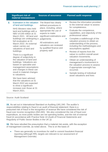|    | <b>Significant risk of</b><br>material misstatement                                                                                                                                                                                                                                                                                                                                                                                                                                                                                                                                                                                                                                                           | <b>Sources of assurance</b>                                                                                                                                                                                                                                          | <b>Planned audit response</b>                                                                                                                                                                                                                                                                                                                                                                                                                                                                                                                                                                                                                                                                                                         |
|----|---------------------------------------------------------------------------------------------------------------------------------------------------------------------------------------------------------------------------------------------------------------------------------------------------------------------------------------------------------------------------------------------------------------------------------------------------------------------------------------------------------------------------------------------------------------------------------------------------------------------------------------------------------------------------------------------------------------|----------------------------------------------------------------------------------------------------------------------------------------------------------------------------------------------------------------------------------------------------------------------|---------------------------------------------------------------------------------------------------------------------------------------------------------------------------------------------------------------------------------------------------------------------------------------------------------------------------------------------------------------------------------------------------------------------------------------------------------------------------------------------------------------------------------------------------------------------------------------------------------------------------------------------------------------------------------------------------------------------------------------|
| 2. | Estimation in the valuation<br>of land and buildings.<br>NHS Western Isles held<br>land and buildings with a<br>NBV of £49 million at 31<br>March 2021. All land and<br>buildings are undergoing a<br>full revaluation at 31<br>March 2022. An external<br>valuer carries out<br>valuations of land and<br>buildings.<br>There is a significant<br>degree of subjectivity in<br>the valuation of land and<br>buildings. Valuations are<br>based on specialist and<br>management assumptions<br>and changes in these can<br>result in material changes<br>to valuations.<br>We have been advised<br>that the valuations at 31<br>March 2022 are expected<br>to show a significant<br>increase over those at 31 | The Board has clearly<br>defined procedures in<br>place, including, where<br>appropriate the use of<br>experts to make<br>significant estimations and<br>judgements.<br>All estimations and<br>valuations are reviewed<br>by qualified finance and<br>property staff | Review the information provided<br>$\bullet$<br>to the external valuer to assess<br>for completeness.<br>Evaluate the competence,<br>$\bullet$<br>capabilities, and objectivity of the<br>professional valuer.<br>Complete a walkthrough of the<br>$\bullet$<br>valuation process to obtain an<br>understanding of the process,<br>including the methodologies and<br>assumptions applied.<br>Review of reports from the<br>$\bullet$<br>valuer to confirm overall asset<br>valuation movements.<br>Obtain an understanding of<br>$\bullet$<br>management's involvement in<br>the valuation process to assess<br>if appropriate oversight has<br>occurred.<br>Sample testing of individual<br>$\bullet$<br>asset valuations and lives |

Source: Audit Scotland

March 2021.

**15.** As set out in International Standard on Auditing (UK) 240*: The auditor's responsibilities relating to fraud in an audit of financial statement*, there is a presumed risk of fraud in the recognition of revenue We have considered the risk of fraud over income recognition (ISA 240). We also considered the risk of fraud over expenditure, as most public bodies are net spending bodies, and the risk of external fraud (in accordance with Practice Note 10 (Audit of Financial Statements and Regularity of Public Sector Bodies in the UK )))

**16.** We have rebutted the presumption that a material risk exists, with the exception of management override, as noted above. This is on the basis of:

• There are generally no incentives for staff to commit fraudulent financial reporting (although RRL targets are relevant to our assessment of Management Override)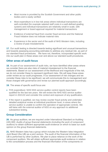- Most income is provided by the Scottish Government and other public bodies and is easily verified
- Most expenditure is in low-risk areas where individual transactions are well-controlled (for example salaried staff costs in a well-defined grading system) and individual transactions are relatively small in scale, with management or board approval required for material transactions
- Evidence of external fraud from counter fraud services and the National Fraud Initiative does not indicate material risks
- Experience in the sector and of the audit of NHS Western Isles, including a review of past misstatements

**17.** Our audit testing is directed towards testing significant and unusual transactions and towards assessing accounting estimates to address any residual risk, as part of our standard fraud procedures. We have not, therefore, incorporated specific work into our audit plan in these areas over and above our standard audit procedures.

#### **Other areas of audit focus**

**18.** As part of our assessment of audit risks, we have identified other areas where we consider there are also risks of material misstatement to the financial statements. Based on our assessment of the likelihood and magnitude of the risk, we do not consider these to represent significant risks. We will keep these areas under review as our audit progresses. If our assessment of risk changes and we consider these risks to be significant, we will communicate this to management and those charged with governance and revise our planned audit approach accordingly.

**19.** The areas of specific audit focus are:

- FHS expenditure: NHS NSS service auditor control reports have been qualified for the last two years. We will review the NHS NSS service auditor report in 2021/22 and consider the context and exposure of any qualification.
- If the report is qualified, we may review counter fraud activity and undertake detailed analytical review at individual practitioner level, in areas where the service auditor is unable to confirm the operation of appropriate controls. We will liaise with the external auditor of NSS on any approach to additional substantive testing.

#### **Group Consideration**

**20.** As group auditors, we are required under International Standard on Auditing (UK) 600: *Audits of group financial statements (including the work of component auditors)* to obtain sufficient appropriate audit evidence on which to base our audit opinion on the group financial statements.

**21.** NHS Western Isles has a group which includes the Western Isles Integration Joint Board (the IJB) as a joint venture. The audit of the financial information of the IJB is performed by other auditors. We plan to place reliance on the work of the component auditors. We will obtain sufficient appropriate audit evidence in relation to the consolidation process and the financial information of the components on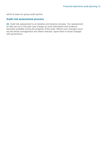which to base our group audit opinion.

#### **Audit risk assessment process**

**22.** Audit risk assessment is an iterative and dynamic process. Our assessment of risks set out in this plan may change as more information and evidence becomes available during the progress of the audit. Where such changes occur, we will advise management and where relevant, report them to those charged with governance.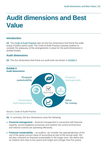# <span id="page-9-0"></span>**Audit dimensions and Best Value**

#### **Introduction**

**23.** The [Code of Audit Practice](https://www.audit-scotland.gov.uk/uploads/docs/report/2016/code_audit_practice_16_0.pdf) sets out the four dimensions that frame the wider scope of public sector audit. The Code of Audit Practice requires auditors to consider the adequacy of the arrangements in place for the audit dimensions in audited bodies.

#### **Audit dimensions**

**24.** The four dimensions that frame our audit work are shown in [Exhibit 3](#page-9-1).

<span id="page-9-1"></span>

#### Source: Code of Audit Practice

**25.** In summary, the four dimensions cover the following:

- **Financial management** financial management is concerned with financial capacity, sound budgetary processes and whether the control environment and internal controls are operating effectively.
- **Financial sustainability** as auditors, we consider the appropriateness of the use of the going concern basis of accounting as part of the annual audit. We will also comment on financial sustainability in the longer term. We define this as medium term (two to five years) and longer term (longer than five years).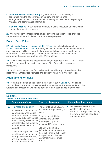- **Governance and transparency** governance and transparency is concerned with the effectiveness of scrutiny and governance arrangements, leadership, and decision-making and transparent reporting of financial and performance information.
- **Value for money** value for money refers to using resources effectively and continually improving services.

**26.** We have prior year recommendations covering the wider scope of public sector audit and we will follow-up and report on progress.

#### **Duty of Best Value**

**27.** [Ministerial Guidance to Accountable Officers](https://www.gov.scot/publications/best-value-public-services-guidance-accountable-officers/) for public bodies and the [Scottish Public Finance Manual](https://www.gov.scot/publications/scottish-public-finance-manual/background-and-applicability/background-and-applicability/) (SPFM) explain that accountable officers have a specific responsibility to ensure that arrangements have been made to secure Best Value. We will be carrying out a high-level review to confirm that such arrangements are in place within NHS Western Isles.

**28.** We will follow up on the recommendation, as reported in our 2020/21 Annual Audit Report, to undertake a formal review of the Best Value assurance framework.

**29.** Additionally, as part our Best Value work, we will carry out a review of the Best Value characteristic "fairness and equality" within NHS Western Isles.

#### **Audit dimension risks**

<span id="page-10-0"></span>**Exhibit 4**

**30.** We have identified audit risks in the areas set out in [Exhibit 4](#page-10-0). This exhibit sets out the risks, sources of assurance from management arrangements and the further audit procedures we plan to perform to gain assurances over the risks.

| 2021/22 Audit dimension risks |                                                                                                                  |                                                                                                                                                                                                                                                                                                                                               |                                                                                                                                                        |
|-------------------------------|------------------------------------------------------------------------------------------------------------------|-----------------------------------------------------------------------------------------------------------------------------------------------------------------------------------------------------------------------------------------------------------------------------------------------------------------------------------------------|--------------------------------------------------------------------------------------------------------------------------------------------------------|
|                               | <b>Description of risk</b>                                                                                       | <b>Sources of assurance</b>                                                                                                                                                                                                                                                                                                                   | <b>Planned audit response</b>                                                                                                                          |
| 1.                            | <b>Fairness and equality</b><br>In accordance with annual<br>planning guidance issued                            | The Board has an Equality<br>and Human Rights Policy in<br>place.                                                                                                                                                                                                                                                                             | We will review recent NHS<br>Western Isles activity on<br><b>Fairness and Equality including</b><br>a review of biennial reporting<br>and action plans |
|                               | by Audit Scotland, auditors<br>work covering the seven BV Steering Group with<br><b>Scottish Public Finance</b>  | There is an established<br>may carry out specific audit Diversity and Equality<br>characteristics set out in the nominated Equality Leads.<br><b>Equality Outcomes are</b><br>There is an expectation that. defined every four years and<br>there is bi-annual publication<br>of Equality and Diversity<br>Mainstreaming progress<br>reports. |                                                                                                                                                        |
|                               | Manual.                                                                                                          |                                                                                                                                                                                                                                                                                                                                               |                                                                                                                                                        |
|                               | equalities will be advanced<br>through the audit process,<br>and auditors have been<br>advised to carry out work |                                                                                                                                                                                                                                                                                                                                               |                                                                                                                                                        |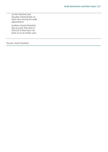on the Fairness and Equality characteristic at least once during the audit appointment.

Auditors should therefore aim to cover that area in 2021/22 if they have not done so in an earlier year.

Source: Audit Scotland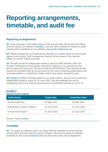### <span id="page-12-0"></span>**Reporting arrangements, timetable, and audit fee**

#### **Reporting arrangements**

**31.** Audit reporting is the visible output for the annual audit. All Annual Audit Plans and the outputs, as detailed in [Exhibit 5](#page-12-1), and any other outputs on matters of public interest will be published on our website: [www.audit-scotland.gov.uk.](http://www.audit-scotland.gov.uk./)

**32.** Matters arising from our audit will be reported on a timely basis and will include agreed action plans. Draft management reports will be issued to the relevant officers to confirm factual accuracy.

**33.** We will provide an independent auditor's report to NHS Western Isles, the Scottish Parliament and the Auditor General for setting out our opinions on the annual report and accounts. We will provide the NHS Western Isles and the Auditor General for Scotland with an annual report on the audit containing observations and recommendations on significant matters which have arisen during the audit.

**34.** [Exhibit 5](#page-12-1) outlines the target dates for our audit outputs, and we aim to issue the independent auditor's report by 30 June 2022. We acknowledge this will be challenging due to the ongoing pressures and uncertainties caused by Covid-19.

### <span id="page-12-1"></span>**Exhibit 5 2021/22 Audit outputs Audit Output Target date Committee Date** Annual Audit Plan 04 May 2022 18 May 2022 Independent Auditor's Report 15 June 2022 22 June 2022 Annual Audit Report 15 June 2022 22 June 2022

#### Source: Audit Scotland

#### **Timetable**

**35.** To support an efficient audit, it is critical that the timetable for producing the annual report and accounts for audit is achieved. We have included a proposed timetable for the audit at [Exhibit 6](#page-13-0) that has been discussed with management.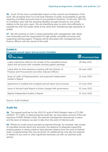**36.** Covid-19 has had a considerable impact on the conduct and timeliness of the audit. We recognise that it is in the best interests of public accountability to get the reporting of audited accounts back to pre-pandemic timelines. To this end, 2021/22 is a transition year with the reporting deadline brought forward by one month relative to the two prior years. We are identifying ways to work more efficiently to expedite the 2021/22 audits whilst at the same time maintaining high standards of quality.

**37.** We will continue to work in close partnership with management with clarity over timescales and the requirement for high quality unaudited accounts and supporting working papers. Progress will be discussed with management and finance officers over the course of the audit.

#### <span id="page-13-0"></span>**Exhibit 6**

**Proposed annual report and accounts timetable**

| <b>Key stage</b>                                                                                                            | <b>Provisional Date</b> |
|-----------------------------------------------------------------------------------------------------------------------------|-------------------------|
| Latest submission date for the receipt of the unaudited annual<br>report and accounts with complete working papers package. | 09 May 2022             |
| Latest date for final clearance meeting with the Director of<br>Finance and Procurement and other relevant Officers         | 08 June 2022            |
| Issue of Letter of Representation and proposed Independent<br><b>Auditor's Report</b>                                       | 15 June 2022            |
| Agreement of audited and unsigned annual report and accounts                                                                | 22 June 2022            |
| Issue of Annual Audit Report to those charged with governance.                                                              | 22 June 2022            |
| Signed Independent Auditor's Report                                                                                         | 22 June 2022            |

#### Source: Audit Scotland

#### **Audit fee**

**38.** The agreed audit fee for the 2021/22 audit of NHS Western Isles is £72,590 (2020/21: £71,200). In determining the audit fee, we have taken account of the risk exposure of NHS Western Isles, the planned management assurances in place and the level of reliance we plan to take from the work of internal audit.

**39.** Where our audit cannot proceed as planned through, for example, late receipt of unaudited annual report and accounts, the absence of adequate supporting working papers or being unable to take planned reliance from the work of internal audit, a supplementary fee may be levied. An additional fee may also be required in relation to any work or other significant exercises out with our planned audit activity.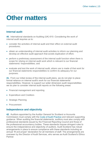### <span id="page-14-0"></span>**Other matters**

#### **Internal audit**

**40.** International standards on Auditing (UK) 610: *Considering the work of internal audit r*equires us to:

- consider the activities of internal audit and their effect on external audit procedures;
- obtain an understanding of internal audit activities to inform our planning and develop an effective audit approach that avoids duplication of effort;
- perform a preliminary assessment of the internal audit function when there is scope for relying on internal audit work which is relevant to our financial statements' responsibilities; and
- evaluate and test the work of internal audit, where use is made of that work for our financial statements responsibilities to confirm its adequacy for our purposes.

**41.** From our initial review of the internal audit plans, we do not plan to place formal reliance on internal audit's work for our financial statements' responsibilities. However, to support our wider dimension audit responsibilities we do plan to consider internal audit reports on the following areas:

- Financial management and reporting
- **Expenditure and Creditors**
- **Strategic Planning**
- **Procurement**

#### **Independence and objectivity**

**42.** Auditors appointed by the Auditor General for Scotland or Accounts Commission must comply with the [Code of Audit Practice](https://www.audit-scotland.gov.uk/uploads/docs/report/2016/code_audit_practice_16_0.pdf) and relevant supporting guidance. When auditing the financial statements, auditors must also comply with professional standards issued by the Financial Reporting Council and those of the professional accountancy bodies. These standards impose stringent rules to ensure the independence and objectivity of auditors. Audit Scotland has robust arrangements in place to ensure compliance with these standards including an annual *'fit and proper*' declaration for all members of staff. The arrangements are overseen by the Director of Audit Services, who serves as Audit Scotland's Ethics Partner.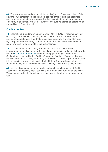**43.** The engagement lead (i.e. appointed auditor) for NHS Western Isles is Brian Howarth, Audit Director. Auditing and ethical standards require the appointed auditor to communicate any relationships that may affect the independence and objectivity of audit staff. We are not aware of any such relationships pertaining to the audit of NHS Western Isles.

#### **Quality control**

**44.** International Standard on Quality Control (UK) 1 (ISQC1) requires a system of quality control to be established, as part of financial audit procedures, to provide reasonable assurance that professional standards and regulatory and legal requirements are being complied with and that the independent auditor's report or opinion is appropriate in the circumstances.

**45.** The foundation of our quality framework is our Audit Guide, which incorporates the application of professional auditing, quality and ethical standards and the Code of Audit Practice (and supporting guidance) issued by Audit Scotland and approved by the Auditor General for Scotland. To ensure that we achieve the required quality standards, Audit Scotland conducts peer reviews and internal quality reviews. Additionally, the Institute of Chartered Accountants of Scotland (ICAS) have been commissioned to carry out external quality reviews.

**46.** As part of our commitment to quality and continuous improvement, Audit Scotland will periodically seek your views on the quality of our service provision. We welcome feedback at any time, and this may be directed to the engagement lead.